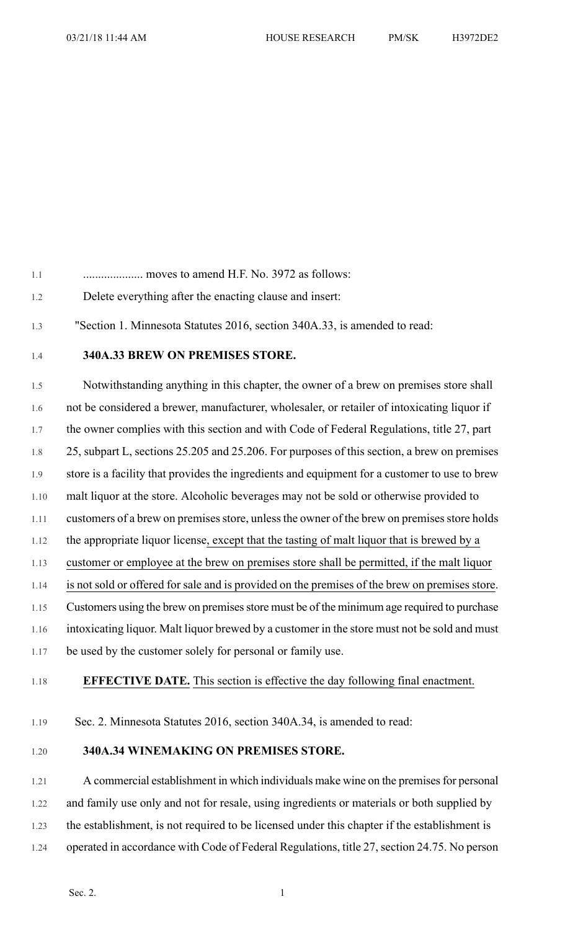1.1 .................... moves to amend H.F. No. 3972 as follows:

- 1.2 Delete everything after the enacting clause and insert:
- 1.3 "Section 1. Minnesota Statutes 2016, section 340A.33, is amended to read:
- 1.4 **340A.33 BREW ON PREMISES STORE.**

1.5 Notwithstanding anything in this chapter, the owner of a brew on premises store shall 1.6 not be considered a brewer, manufacturer, wholesaler, or retailer of intoxicating liquor if 1.7 the owner complies with this section and with Code of Federal Regulations, title 27, part 1.8 25, subpart L, sections 25.205 and 25.206. For purposes of this section, a brew on premises 1.9 store is a facility that provides the ingredients and equipment for a customer to use to brew 1.10 malt liquor at the store. Alcoholic beverages may not be sold or otherwise provided to 1.11 customers of a brew on premises store, unless the owner of the brew on premises store holds 1.12 the appropriate liquor license, except that the tasting of malt liquor that is brewed by a 1.13 customer or employee at the brew on premises store shall be permitted, if the malt liquor 1.14 is not sold or offered for sale and is provided on the premises of the brew on premises store. 1.15 Customers using the brew on premises store must be of the minimum age required to purchase 1.16 intoxicating liquor. Malt liquor brewed by a customer in the store must not be sold and must 1.17 be used by the customer solely for personal or family use.

1.18 **EFFECTIVE DATE.** This section is effective the day following final enactment.

1.19 Sec. 2. Minnesota Statutes 2016, section 340A.34, is amended to read:

## 1.20 **340A.34 WINEMAKING ON PREMISES STORE.**

1.21 A commercial establishment in which individuals make wine on the premisesfor personal 1.22 and family use only and not for resale, using ingredients or materials or both supplied by 1.23 the establishment, is not required to be licensed under this chapter if the establishment is 1.24 operated in accordance with Code of Federal Regulations, title 27, section 24.75. No person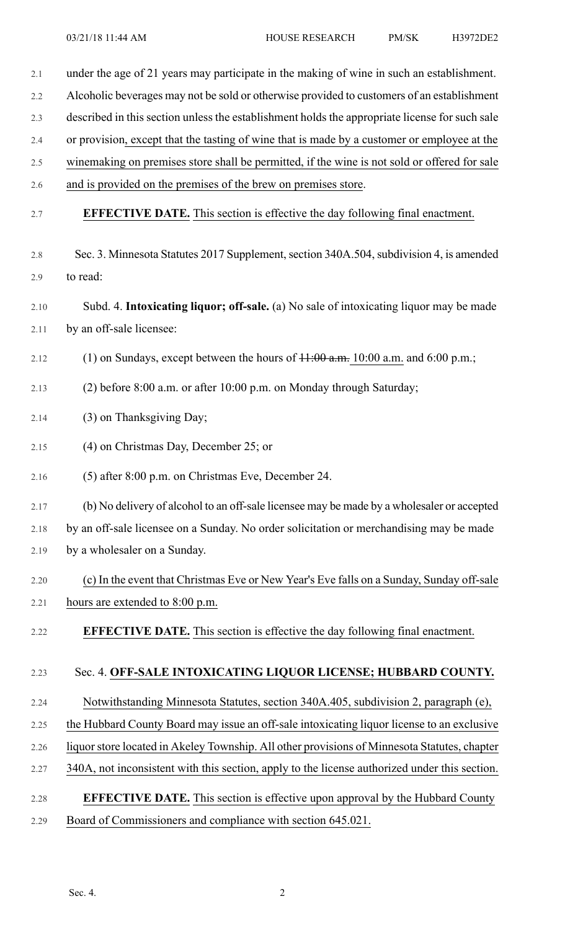2.1 under the age of 21 years may participate in the making of wine in such an establishment. 2.2 Alcoholic beverages may not be sold or otherwise provided to customers of an establishment 2.3 described in this section unless the establishment holds the appropriate license for such sale 2.4 or provision, except that the tasting of wine that is made by a customer or employee at the 2.5 winemaking on premises store shall be permitted, if the wine is not sold or offered for sale 2.6 and is provided on the premises of the brew on premises store. 2.7 **EFFECTIVE DATE.** This section is effective the day following final enactment. 2.8 Sec. 3. Minnesota Statutes 2017 Supplement, section 340A.504, subdivision 4, is amended 2.9 to read: 2.10 Subd. 4. **Intoxicating liquor; off-sale.** (a) No sale of intoxicating liquor may be made 2.11 by an off-sale licensee: 2.12 (1) on Sundays, except between the hours of  $\frac{11:00 \text{ a.m.}}{10:00 \text{ a.m.}}$  and 6:00 p.m.; 2.13 (2) before 8:00 a.m. or after 10:00 p.m. on Monday through Saturday; 2.14 (3) on Thanksgiving Day; 2.15 (4) on Christmas Day, December 25; or 2.16 (5) after 8:00 p.m. on Christmas Eve, December 24. 2.17 (b) No delivery of alcohol to an off-sale licensee may be made by a wholesaler or accepted 2.18 by an off-sale licensee on a Sunday. No order solicitation or merchandising may be made 2.19 by a wholesaler on a Sunday. 2.20 (c) In the event that Christmas Eve or New Year's Eve falls on a Sunday, Sunday off-sale 2.21 hours are extended to 8:00 p.m. 2.22 **EFFECTIVE DATE.** This section is effective the day following final enactment. 2.23 Sec. 4. **OFF-SALE INTOXICATING LIQUOR LICENSE; HUBBARD COUNTY.** 2.24 Notwithstanding Minnesota Statutes, section 340A.405, subdivision 2, paragraph (e), 2.25 the Hubbard County Board may issue an off-sale intoxicating liquor license to an exclusive 2.26 liquor store located in Akeley Township. All other provisions of Minnesota Statutes, chapter 2.27 340A, not inconsistent with this section, apply to the license authorized under this section. 2.28 **EFFECTIVE DATE.** This section is effective upon approval by the Hubbard County 2.29 Board of Commissioners and compliance with section 645.021.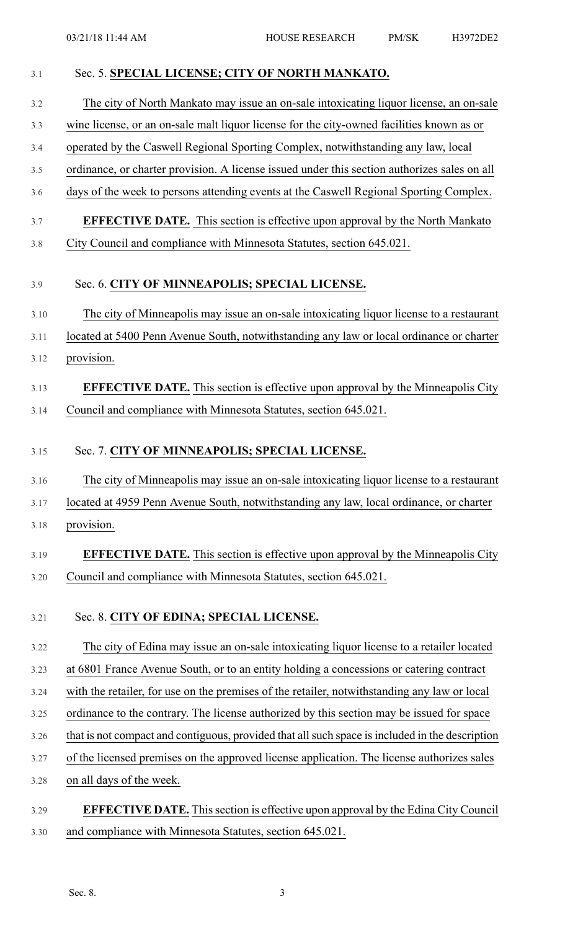| 3.1  | Sec. 5. SPECIAL LICENSE; CITY OF NORTH MANKATO.                                                 |
|------|-------------------------------------------------------------------------------------------------|
| 3.2  | The city of North Mankato may issue an on-sale intoxicating liquor license, an on-sale          |
| 3.3  | wine license, or an on-sale malt liquor license for the city-owned facilities known as or       |
| 3.4  | operated by the Caswell Regional Sporting Complex, notwithstanding any law, local               |
| 3.5  | ordinance, or charter provision. A license issued under this section authorizes sales on all    |
| 3.6  | days of the week to persons attending events at the Caswell Regional Sporting Complex.          |
| 3.7  | <b>EFFECTIVE DATE.</b> This section is effective upon approval by the North Mankato             |
| 3.8  | City Council and compliance with Minnesota Statutes, section 645.021.                           |
| 3.9  | Sec. 6. CITY OF MINNEAPOLIS; SPECIAL LICENSE.                                                   |
| 3.10 | The city of Minneapolis may issue an on-sale intoxicating liquor license to a restaurant        |
| 3.11 | located at 5400 Penn Avenue South, notwithstanding any law or local ordinance or charter        |
| 3.12 | provision.                                                                                      |
| 3.13 | <b>EFFECTIVE DATE.</b> This section is effective upon approval by the Minneapolis City          |
| 3.14 | Council and compliance with Minnesota Statutes, section 645.021.                                |
| 3.15 | Sec. 7. CITY OF MINNEAPOLIS; SPECIAL LICENSE.                                                   |
| 3.16 | The city of Minneapolis may issue an on-sale intoxicating liquor license to a restaurant        |
| 3.17 | located at 4959 Penn Avenue South, notwithstanding any law, local ordinance, or charter         |
| 3.18 | provision.                                                                                      |
| 3.19 | <b>EFFECTIVE DATE.</b> This section is effective upon approval by the Minneapolis City          |
| 3.20 | Council and compliance with Minnesota Statutes, section 645.021.                                |
| 3.21 | Sec. 8. CITY OF EDINA; SPECIAL LICENSE.                                                         |
| 3.22 | The city of Edina may issue an on-sale intoxicating liquor license to a retailer located        |
| 3.23 | at 6801 France Avenue South, or to an entity holding a concessions or catering contract         |
| 3.24 | with the retailer, for use on the premises of the retailer, notwithstanding any law or local    |
| 3.25 | ordinance to the contrary. The license authorized by this section may be issued for space       |
| 3.26 | that is not compact and contiguous, provided that all such space is included in the description |
| 3.27 | of the licensed premises on the approved license application. The license authorizes sales      |
| 3.28 | on all days of the week.                                                                        |
| 3.29 | <b>EFFECTIVE DATE.</b> This section is effective upon approval by the Edina City Council        |
| 3.30 | and compliance with Minnesota Statutes, section 645.021.                                        |